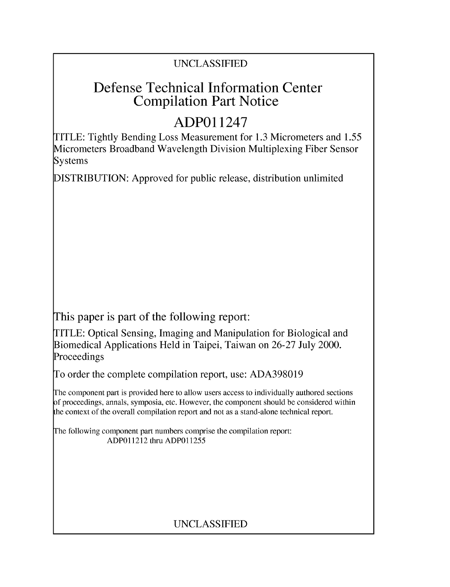### UNCLASSIFIED

# Defense Technical Information Center Compilation Part Notice

# **ADPO** 11247

TITLE: Tightly Bending Loss Measurement for 1.3 Micrometers and 1.55 Micrometers Broadband Wavelength Division Multiplexing Fiber Sensor Systems

DISTRIBUTION: Approved for public release, distribution unlimited

This paper is part of the following report:

TITLE: Optical Sensing, Imaging and Manipulation for Biological and Biomedical Applications Held in Taipei, Taiwan on 26-27 July 2000. Proceedings

To order the complete compilation report, use: ADA398019

The component part is provided here to allow users access to individually authored sections f proceedings, annals, symposia, etc. However, the component should be considered within [he context of the overall compilation report and not as a stand-alone technical report.

The following component part numbers comprise the compilation report: ADPO11212 thru ADP011255

### UNCLASSIFIED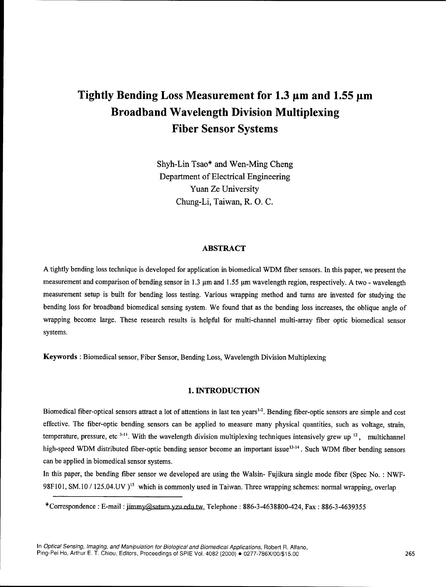## Tightly Bending Loss Measurement for 1.3  $\mu$ m and 1.55  $\mu$ m Broadband Wavelength Division Multiplexing Fiber Sensor Systems

Shyh-Lin Tsao\* and Wen-Ming Cheng Department of Electrical Engineering Yuan Ze University Chung-Li, Taiwan, R. **0.** C.

#### ABSTRACT

**A** tightly bending loss technique is developed for application in biomedical WDM fiber sensors. In this paper, we present the measurement and comparison of bending sensor in 1.3  $\mu$ m and 1.55  $\mu$ m wavelength region, respectively. A two - wavelength measurement setup is built for bending loss testing. Various wrapping method and turns are invested for studying the bending loss for broadband biomedical sensing system. We found that as the bending loss increases, the oblique angle of wrapping become large. These research results is helpful for multi-channel multi-array fiber optic biomedical sensor systems.

Keywords **:** Biomedical sensor, Fiber Sensor, Bending Loss, Wavelength Division Multiplexing

#### 1. **INTRODUCTION**

Biomedical fiber-optical sensors attract a lot of attentions in last ten years<sup>1-2</sup>. Bending fiber-optic sensors are simple and cost effective. The fiber-optic bending sensors can be applied to measure many physical quantities, such as voltage, strain, temperature, pressure, etc **311.** With the wavelength division multiplexing techniques intensively grew up **12,** multichannel high-speed WDM distributed fiber-optic bending sensor become an important issue<sup>13-14</sup>. Such WDM fiber bending sensors can be applied in biomedical sensor systems.

In this paper, the bending fiber sensor we developed are using the Walsin- Fujikura single mode fiber (Spec No. : NWF-98F101, SM.10 **/** 125.04.UV **)l5** which is commonly used in Taiwan. Three wrapping schemes: normal wrapping, overlap

<sup>\*</sup>Correspondence : E-mail: jimmy@saturn.yzu.edu.tw, Telephone: 886-3-4638800-424, Fax: 886-3-4639355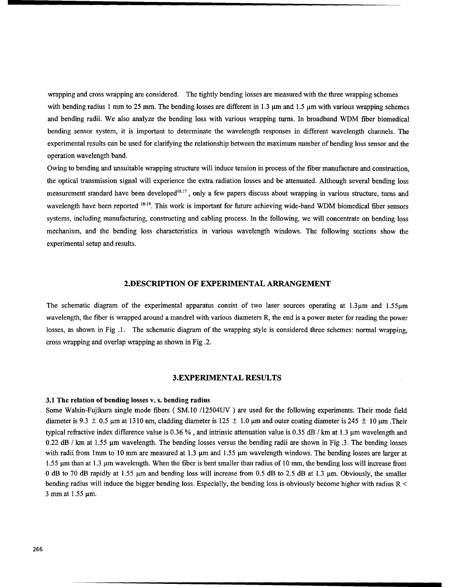wrapping and cross wrapping are considered. The tightly bending losses are measured with the three wrapping schemes with bending radius 1 mm to 25 mm. The bending losses are different in 1.3  $\mu$ m and 1.5  $\mu$ m with various wrapping schemes and bending radii. We also analyze the bending loss with various wrapping turns. In broadband WDM fiber biomedical bending sensor system, it is important to determinate the wavelength responses in different wavelength channels. The experimental results can be used for clarifying the relationship between the maximum number of bending loss sensor and the operation wavelength band.

Owing to bending and unsuitable wrapping structure will induce tension in process of the fiber manufacture and construction, the optical transmission signal will experience the extra radiation losses and be attenuated. Although several bending loss measurement standard have been developed<sup>16,17</sup>, only a few papers discuss about wrapping in various structure, turns and wavelength have been reported **18-19.** This work is important for future achieving wide-band WDM biomedical fiber sensors systems, including manufacturing, constructing and cabling process. In the following, we will concentrate on bending loss mechanism, and the bending loss characteristics in various wavelength windows. The following sections show the experimental setup and results.

#### **2.DESCRIPTION** OF EXPERIMENTAL ARRANGEMENT

The schematic diagram of the experimental apparatus consist of two laser sources operating at  $1.3\,\mu$ m and  $1.55\,\mu$ m wavelength, the fiber is wrapped around a mandrel with various diameters R, the end is a power meter for reading the power losses, as shown in Fig 1. The schematic diagram of the wrapping style is considered three schemes: normal wrapping, cross wrapping and overlap wrapping as shown in Fig .2.

#### 3.EXPERIMENTAL **RESULTS**

#### **3.1** The relation of bending losses v. s. bending radius

Some Walsin-Fujikura single mode fibers ( SM.10 /12504UV ) are used for the following experiments. Their mode field diameter is 9.3  $\pm$  0.5  $\mu$ m at 1310 nm, cladding diameter is 125  $\pm$  1.0  $\mu$ m and outer coating diameter is 245  $\pm$  10  $\mu$ m .Their typical refractive index difference value is 0.36 % , and intrinsic attenuation value is 0.35 dB / km at 1.3 pm wavelength and  $0.22$  dB / km at 1.55 µm wavelength. The bending losses versus the bending radii are shown in Fig .3. The bending losses with radii from 1mm to 10 mm are measured at 1.3  $\mu$ m and 1.55  $\mu$ m wavelength windows. The bending losses are larger at 1.55 pm than at 1.3 pm wavelength. When the fiber is bent smaller than radius of 10 mm, the bending loss will increase from 0 dB to 70 dB rapidly at 1.55 pm and bending loss will increase from 0.5 dB to 2.5 dB at 1.3 pm. Obviously, the smaller bending radius will induce the bigger bending loss. Especially, the bending loss is obviously become higher with radius R < 3 mm at  $1.55 \mu m$ .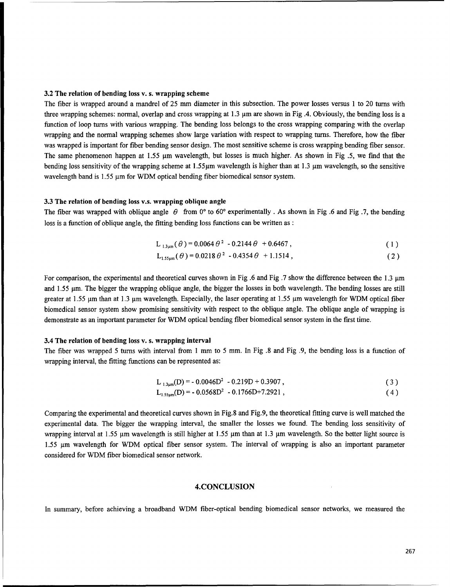#### **3.2** The relation of bending loss **v.** s. wrapping scheme

The fiber is wrapped around a mandrel of 25 mm diameter in this subsection. The power losses versus 1 to 20 turns with three wrapping schemes: normal, overlap and cross wrapping at 1.3 gm are shown in Fig .4. Obviously, the bending loss is a function of loop turns with various wrapping. The bending loss belongs to the cross wrapping comparing with the overlap wrapping and the normal wrapping schemes show large variation with respect to wrapping turns. Therefore, how the fiber was wrapped is important for fiber bending sensor design. The most sensitive scheme is cross wrapping bending fiber sensor. The same phenomenon happen at 1.55  $\mu$ m wavelength, but losses is much higher. As shown in Fig .5, we find that the bending loss sensitivity of the wrapping scheme at  $1.55\mu m$  wavelength is higher than at  $1.3 \mu m$  wavelength, so the sensitive wavelength band is  $1.55 \mu m$  for WDM optical bending fiber biomedical sensor system.

#### 3.3 The relation of bending loss v.s. wrapping oblique angle

The fiber was wrapped with oblique angle  $\theta$  from 0° to 60° experimentally. As shown in Fig .6 and Fig .7, the bending loss is a function of oblique angle, the fitting bending loss functions can be written as:

$$
L_{1.3\mu\text{m}}(\theta) = 0.0064 \theta^2 - 0.2144 \theta + 0.6467, \qquad (1)
$$

$$
L_{1.55\mu m}(\theta) = 0.0218 \theta^2 - 0.4354 \theta + 1.1514,
$$
\n(2)

For comparison, the experimental and theoretical curves shown in Fig .6 and Fig .7 show the difference between the  $1.3 \mu m$ and 1.55 pm. The bigger the wrapping oblique angle, the bigger the losses in both wavelength. The bending losses are still greater at 1.55  $\mu$ m than at 1.3  $\mu$ m wavelength. Especially, the laser operating at 1.55  $\mu$ m wavelength for WDM optical fiber biomedical sensor system show promising sensitivity with respect to the oblique angle. The oblique angle of wrapping is demonstrate as an important parameter for WDM optical bending fiber biomedical sensor system in the first time.

#### 3.4 The relation of bending loss v. s. wrapping interval

The fiber was wrapped **5** turns with interval from 1 mm to 5 mm. In Fig .8 and Fig .9, the bending loss is a function of wrapping interval, the fitting functions can be represented as:

$$
L_{1.3\mu\text{m}}(D) = -0.0046D^{2} - 0.219D + 0.3907,
$$
\n
$$
L_{1.55\mu\text{m}}(D) = -0.0568D^{2} - 0.1766D + 7.2921,
$$
\n(3)

Comparing the experimental and theoretical curves shown in Fig.8 and Fig.9, the theoretical fitting curve is well matched the experimental data. The bigger the wrapping interval, the smaller the losses we found. The bending loss sensitivity of wrapping interval at  $1.55 \mu m$  wavelength is still higher at  $1.55 \mu m$  than at  $1.3 \mu m$  wavelength. So the better light source is 1.55 gm wavelength for WDM optical fiber sensor system. The interval of wrapping is also an important parameter considered for WDM fiber biomedical sensor network.

#### **4.CONCLUSION**

In summary, before achieving a broadband WDM fiber-optical bending biomedical sensor networks, we measured the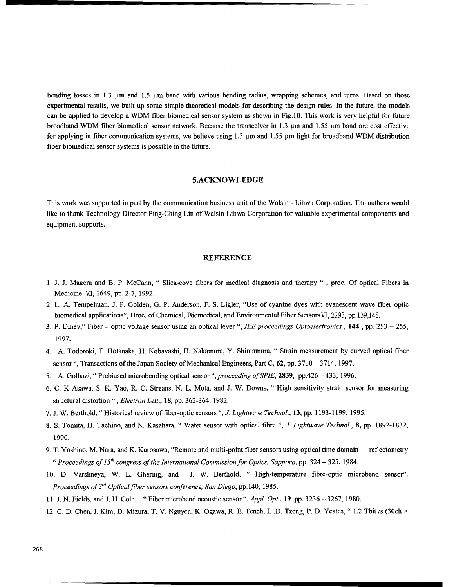bending losses in 1.3 µm and 1.5 µm band with various bending radius, wrapping schemes, and turns. Based on those experimental results, we built up some simple theoretical models for describing the design rules. In the future, the models can be applied to develop a WDM fiber biomedical sensor system as shown in Fig. 10. This work is very helpful for future broadband WDM fiber biomedical sensor network. Because the transceiver in 1.3 µm and 1.55 µm band are cost effective for applying in fiber communication systems, we believe using  $1.3 \mu m$  and  $1.55 \mu m$  light for broadband WDM distribution fiber biomedical sensor systems is possible in the future.

#### **5.ACKNOWLEDGE**

This work was supported in part by the communication business unit of the Walsin - Lihwa Corporation. The authors would like to thank Technology Director Ping-Ching Lin of Walsin-Lihwa Corporation for valuable experimental components and equipment supports.

#### **REFERENCE**

- 1. J. J. Magera and B. P. McCann, " Slica-cove fibers for medical diagnosis and therapy " , proc. Of optical Fibers in Medicine VII, 1649, pp. 2-7, 1992.
- 2. L. A. Tempelman, J. P. Golden, G. P. Anderson, F. S. Ligler, "Use of cyanine dyes with evanescent wave fiber optic biomedical applications", Droc. of Chemical, Biomedical, and Environmental Fiber Sensors VI, 2293, pp.139,148.
- 3. P. Dinev," Fiber optic voltage sensor using an optical lever ", *lEE proceedings Optoelectronics* , 144 , pp. 253 255, 1997.
- 4. A. Todoroki, T. Hotanaka, H. Kobavashi, H. Nakamura, Y. Shimamura, " Strain measurement by curved optical fiber sensor ", Transactions of the Japan Society of Mechanical Engineers, Part C, 62, pp. 3710 **-** 3714, 1997.
- 5. A. Golbazi, " Prebiased microbending optical sensor ", *proceeding of SPIE*, 2839, pp.426 433, 1996.
- 6. C. K Asawa, S. K. Yao, R. C. Streans, N. L. Mota, and J. W. Downs, " High sensitivity strain sensor for measuring structural distortion" , *Electron Lett.,* 18, pp. 362-364, 1982.
- 7. J. W. Berthold, " Historical review of fiber-optic sensors ", *J. Lightwave Technol.,* 13, pp. 1193-1199, 1995.
- 8. **S.** Tomita, H. Tachino, and N. Kasahara, " Water sensor with optical fibre ", *J. Lightwave Technol.,* 8, pp. 1892-1832, 1990.
- 9. T. Yoshino, M. Nara, and K. Kurosawa, "Remote and multi-point fiber sensors using optical time domain reflectometry *"Proceedings of13'h congress of the International Commission for Optics, Sapporo,* pp. 324 - 325, 1984.
- 10. D. Varshneya, W. L. Ghering, and J. W. Berthold, **"** High-temperature fibre-optic microbend sensor". *Proceedings of 3rd Opticalfiber sensors conference, San Diego,* pp. 140, 1985.
- 11. J. N. Fields, and J. H. Cole, "Fiber microbend acoustic sensor **".** *Appl. Opt.,* **19,** pp. 3236 **-** 3267, 1980.
- 12. C. D. Chen, **1.** Kim, D. Mizura, T. V. Nguyen, K. Ogawa, R. E. Tench, L .D. Tzeng, P. D. Yeates, " 1.2 Tbit /s (30ch x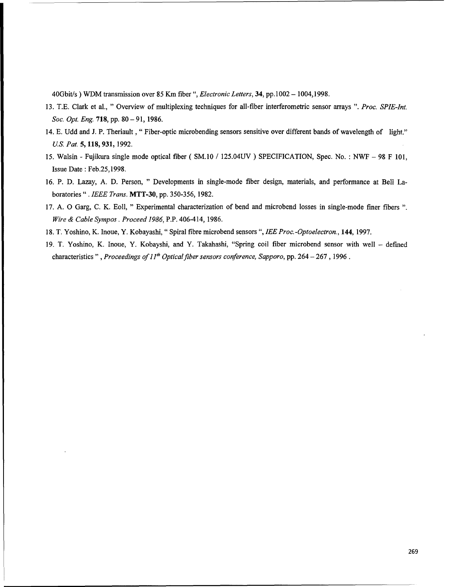40Gbit/s ) WDM transmission over 85 Km fiber ", *Electronic Letters*, 34, pp.1002 - 1004,1998.

- 13. T.E. Clark et al., " Overview of multiplexing techniques for all-fiber interferometric sensor arrays ". *Proc. SPIE-Int. Soc. Opt. Eng.* 718, pp. 80-91, 1986.
- 14. E. Udd and J. P. Theriault , "Fiber-optic microbending sensors sensitive over different bands of wavelength of light." *U.S. Pat.* 5, 118, 931, 1992.
- 15. Walsin Fujikura single mode optical fiber ( SM.10 / 125.04UV ) SPECIFICATION, Spec. No. **:** NWF 98 F 101, Issue Date **:** Feb.25,1998.
- 16. P. D. Lazay, A. D. Person, " Developments in single-mode fiber design, materials, and performance at Bell Laboratories" .*IEEE Trans.* MTT-30, pp. 350-356, 1982.
- 17. A. **0** Garg, C. K. Eoll, " Experimental characterization of bend and microbend losses in single-mode finer fibers " *Wire & Cable Sympos. Proceed 1986,* P.P. 406-414, 1986.
- 18. T. Yoshino, K. Inoue, Y. Kobayashi, "Spiral fibre microbend sensors ", *IEE Proc.-Optoelectron.,* 144, 1997.
- 19. T. Yoshino, K. Inoue, Y. Kobayshi, and Y. Takahashi, "Spring coil fiber microbend sensor with well defined characteristics ", *Proceedings of 11<sup>th</sup> Optical fiber sensors conference, Sapporo, pp. 264 - 267*, 1996.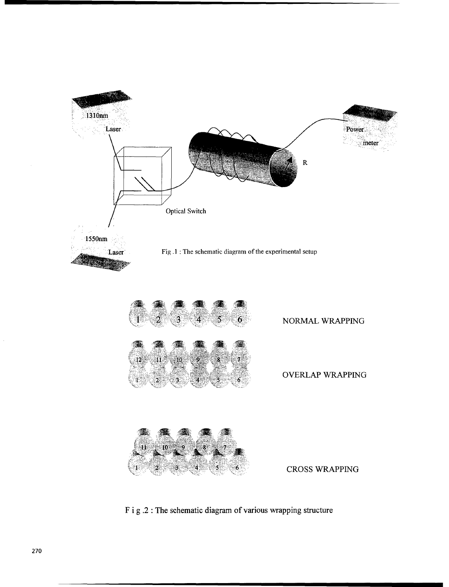

F i **g** .2 The schematic diagram of various wrapping structure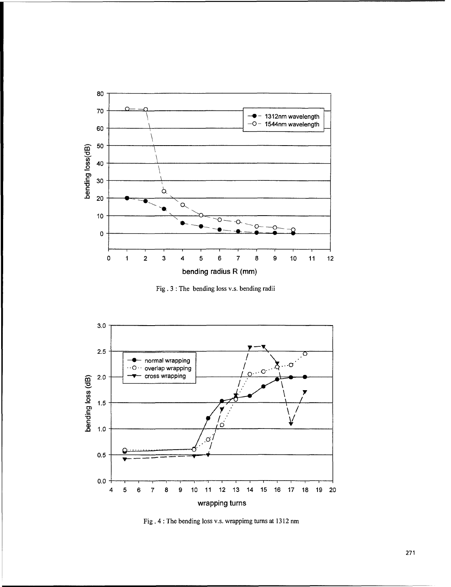

Fig. 3 The bending loss v.s. bending radii



Fig. 4 : The bending loss v.s. wrappimg turns at 1312 nm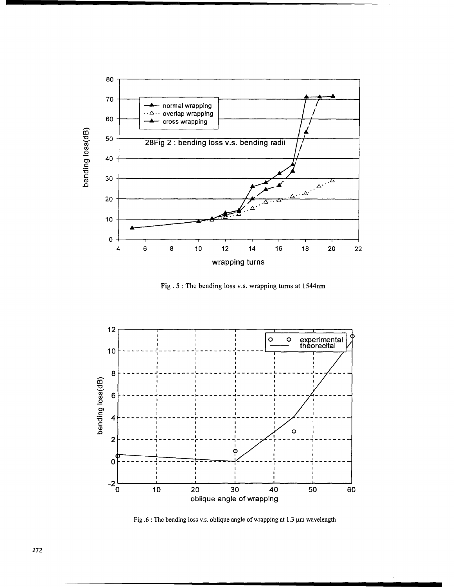

Fig. 5: The bending loss v.s. wrapping turns at 1544nm



Fig.6: The bending loss v.s. oblique angle of wrapping at 1.3 µm wavelength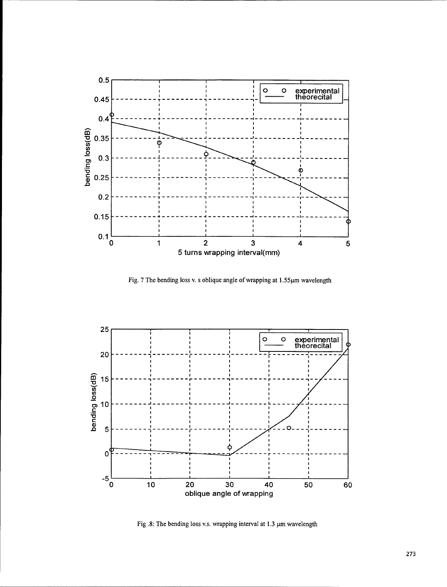

Fig. 7 The bending loss v. s oblique angle of wrapping at 1.55µm wavelength



Fig. 8: The bending loss v.s. wrapping interval at 1.3  $\mu$ m wavelength